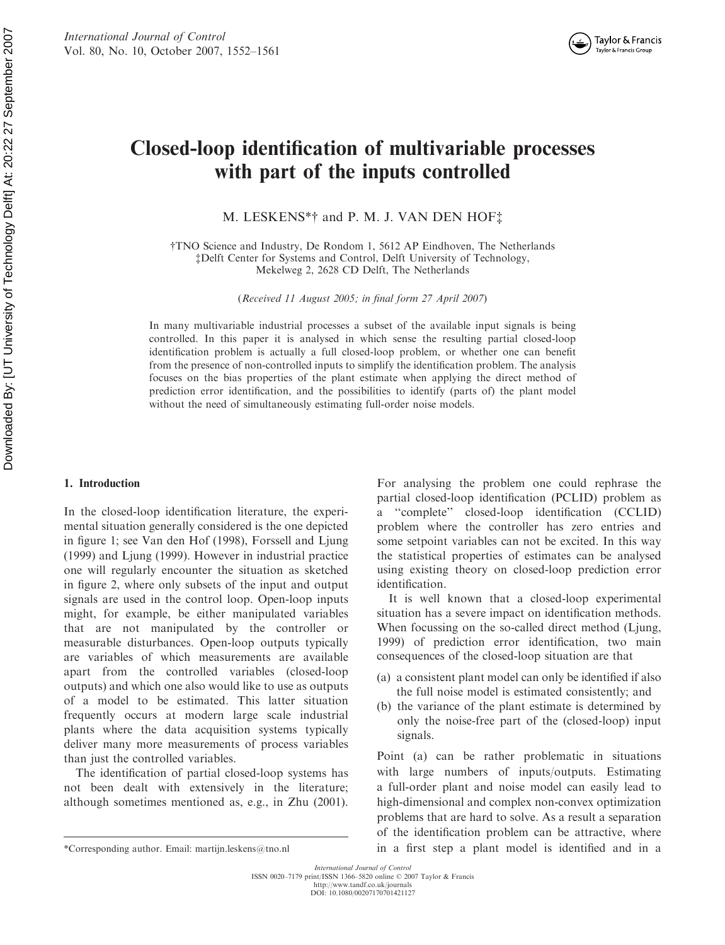

# Closed-loop identification of multivariable processes with part of the inputs controlled

M. LESKENS\*† and P. M. J. VAN DEN HOF<sup>†</sup>

yTNO Science and Industry, De Rondom 1, 5612 AP Eindhoven, The Netherlands zDelft Center for Systems and Control, Delft University of Technology, Mekelweg 2, 2628 CD Delft, The Netherlands

(Received 11 August 2005; in final form 27 April 2007)

In many multivariable industrial processes a subset of the available input signals is being controlled. In this paper it is analysed in which sense the resulting partial closed-loop identification problem is actually a full closed-loop problem, or whether one can benefit from the presence of non-controlled inputs to simplify the identification problem. The analysis focuses on the bias properties of the plant estimate when applying the direct method of prediction error identification, and the possibilities to identify (parts of) the plant model without the need of simultaneously estimating full-order noise models.

# 1. Introduction

In the closed-loop identification literature, the experimental situation generally considered is the one depicted in figure 1; see Van den Hof (1998), Forssell and Ljung (1999) and Ljung (1999). However in industrial practice one will regularly encounter the situation as sketched in figure 2, where only subsets of the input and output signals are used in the control loop. Open-loop inputs might, for example, be either manipulated variables that are not manipulated by the controller or measurable disturbances. Open-loop outputs typically are variables of which measurements are available apart from the controlled variables (closed-loop outputs) and which one also would like to use as outputs of a model to be estimated. This latter situation frequently occurs at modern large scale industrial plants where the data acquisition systems typically deliver many more measurements of process variables than just the controlled variables.

The identification of partial closed-loop systems has not been dealt with extensively in the literature; although sometimes mentioned as, e.g., in Zhu (2001).

For analysing the problem one could rephrase the partial closed-loop identification (PCLID) problem as a ''complete'' closed-loop identification (CCLID) problem where the controller has zero entries and some setpoint variables can not be excited. In this way the statistical properties of estimates can be analysed using existing theory on closed-loop prediction error identification.

It is well known that a closed-loop experimental situation has a severe impact on identification methods. When focussing on the so-called direct method (Ljung, 1999) of prediction error identification, two main consequences of the closed-loop situation are that

- (a) a consistent plant model can only be identified if also the full noise model is estimated consistently; and
- (b) the variance of the plant estimate is determined by only the noise-free part of the (closed-loop) input signals.

Point (a) can be rather problematic in situations with large numbers of inputs/outputs. Estimating a full-order plant and noise model can easily lead to high-dimensional and complex non-convex optimization problems that are hard to solve. As a result a separation of the identification problem can be attractive, where \*Corresponding author. Email: martijn.leskens@tno.nl in a first step a plant model is identified and in a

International Journal of Control<br>ISSN 0020-7179 print/ISSN 1366-5820 online © 2007 Taylor & Francis

http://www.tandf.co.uk/journals DOI: 10.1080/00207170701421127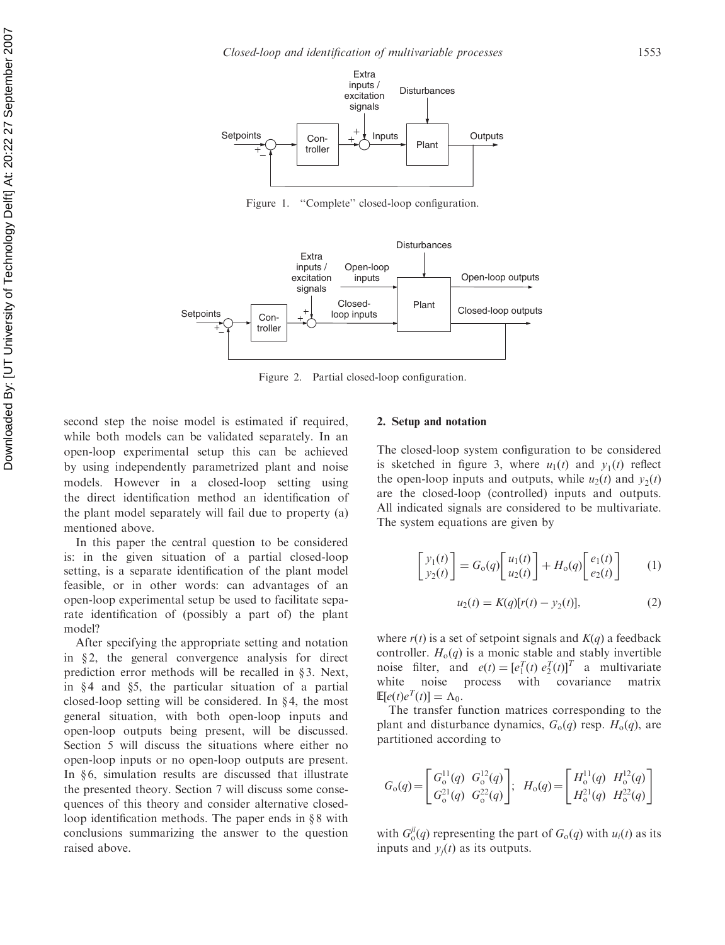

Figure 1. "Complete" closed-loop configuration.



Figure 2. Partial closed-loop configuration.

second step the noise model is estimated if required, while both models can be validated separately. In an open-loop experimental setup this can be achieved by using independently parametrized plant and noise models. However in a closed-loop setting using the direct identification method an identification of the plant model separately will fail due to property (a) mentioned above.

In this paper the central question to be considered is: in the given situation of a partial closed-loop setting, is a separate identification of the plant model feasible, or in other words: can advantages of an open-loop experimental setup be used to facilitate separate identification of (possibly a part of) the plant model?

After specifying the appropriate setting and notation in  $\S$ 2, the general convergence analysis for direct prediction error methods will be recalled in  $\S$ 3. Next, in  $§4$  and  $§5$ , the particular situation of a partial closed-loop setting will be considered. In  $\S 4$ , the most general situation, with both open-loop inputs and open-loop outputs being present, will be discussed. Section 5 will discuss the situations where either no open-loop inputs or no open-loop outputs are present. In  $§6$ , simulation results are discussed that illustrate the presented theory. Section 7 will discuss some consequences of this theory and consider alternative closedloop identification methods. The paper ends in  $88$  with conclusions summarizing the answer to the question raised above.

# 2. Setup and notation

The closed-loop system configuration to be considered is sketched in figure 3, where  $u_1(t)$  and  $v_1(t)$  reflect the open-loop inputs and outputs, while  $u_2(t)$  and  $y_2(t)$ are the closed-loop (controlled) inputs and outputs. All indicated signals are considered to be multivariate. The system equations are given by

$$
\begin{bmatrix} y_1(t) \\ y_2(t) \end{bmatrix} = G_o(q) \begin{bmatrix} u_1(t) \\ u_2(t) \end{bmatrix} + H_o(q) \begin{bmatrix} e_1(t) \\ e_2(t) \end{bmatrix}
$$
 (1)

$$
u_2(t) = K(q)[r(t) - y_2(t)],
$$
 (2)

where  $r(t)$  is a set of setpoint signals and  $K(q)$  a feedback controller.  $H_0(q)$  is a monic stable and stably invertible noise filter, and  $e(t) = [e_1^T(t) e_2^T(t)]^T$  a multivariate white noise process with covariance matrix  $\mathbb{E}[e(t)e^T(t)] = \Lambda_0.$ 

The transfer function matrices corresponding to the plant and disturbance dynamics,  $G_0(q)$  resp.  $H_0(q)$ , are partitioned according to

$$
G_{\rm o}(q) = \begin{bmatrix} G_{\rm o}^{11}(q) & G_{\rm o}^{12}(q) \\ G_{\rm o}^{21}(q) & G_{\rm o}^{22}(q) \end{bmatrix}; \ \ H_{\rm o}(q) = \begin{bmatrix} H_{\rm o}^{11}(q) & H_{\rm o}^{12}(q) \\ H_{\rm o}^{21}(q) & H_{\rm o}^{22}(q) \end{bmatrix}
$$

with  $G_0^{ji}(q)$  representing the part of  $G_0(q)$  with  $u_i(t)$  as its inputs and  $y_j(t)$  as its outputs.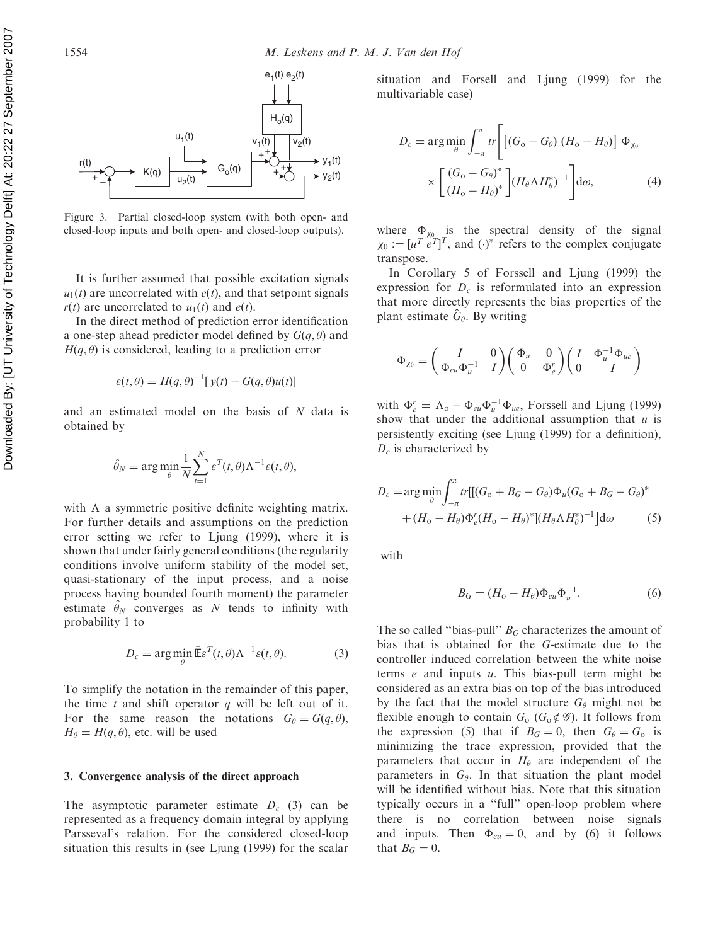

Figure 3. Partial closed-loop system (with both open- and closed-loop inputs and both open- and closed-loop outputs).

It is further assumed that possible excitation signals  $u_1(t)$  are uncorrelated with  $e(t)$ , and that setpoint signals  $r(t)$  are uncorrelated to  $u_1(t)$  and  $e(t)$ .

In the direct method of prediction error identification a one-step ahead predictor model defined by  $G(q, \theta)$  and  $H(q, \theta)$  is considered, leading to a prediction error

$$
\varepsilon(t,\theta) = H(q,\theta)^{-1}[y(t) - G(q,\theta)u(t)]
$$

and an estimated model on the basis of N data is obtained by

$$
\hat{\theta}_N = \arg\min_{\theta} \frac{1}{N} \sum_{t=1}^N \varepsilon^T(t, \theta) \Lambda^{-1} \varepsilon(t, \theta),
$$

with  $\Lambda$  a symmetric positive definite weighting matrix. For further details and assumptions on the prediction error setting we refer to Ljung (1999), where it is shown that under fairly general conditions (the regularity conditions involve uniform stability of the model set, quasi-stationary of the input process, and a noise process having bounded fourth moment) the parameter estimate  $\hat{\theta}_N$  converges as N tends to infinity with probability 1 to

$$
D_c = \arg\min_{\theta} \bar{\mathbb{E}} \varepsilon^T(t, \theta) \Lambda^{-1} \varepsilon(t, \theta). \tag{3}
$$

To simplify the notation in the remainder of this paper, the time  $t$  and shift operator  $q$  will be left out of it. For the same reason the notations  $G_{\theta} = G(q, \theta)$ ,  $H_{\theta} = H(q, \theta)$ , etc. will be used

# 3. Convergence analysis of the direct approach

The asymptotic parameter estimate  $D_c$  (3) can be represented as a frequency domain integral by applying Parsseval's relation. For the considered closed-loop situation this results in (see Ljung (1999) for the scalar situation and Forsell and Ljung (1999) for the multivariable case)

$$
D_c = \arg\min_{\theta} \int_{-\pi}^{\pi} tr \left[ \left( G_o - G_{\theta} \right) \left( H_o - H_{\theta} \right) \right] \Phi_{\chi_0}
$$

$$
\times \left[ \frac{\left( G_o - G_{\theta} \right)^*}{\left( H_o - H_{\theta} \right)^*} \right] \left( H_{\theta} \Lambda H_{\theta}^* \right)^{-1} \right] d\omega, \tag{4}
$$

where  $\Phi_{\chi_0}$  is the spectral density of the signal  $\chi_0 := [u^T \, \hat{e}^T]^T$ , and  $(\cdot)^*$  refers to the complex conjugate transpose.

In Corollary 5 of Forssell and Ljung (1999) the expression for  $D_c$  is reformulated into an expression that more directly represents the bias properties of the plant estimate  $\hat{G}_{\theta}$ . By writing

$$
\Phi_{\chi_0} = \begin{pmatrix} I & 0 \\ \Phi_{eu} \Phi_u^{-1} & I \end{pmatrix} \begin{pmatrix} \Phi_u & 0 \\ 0 & \Phi_e' \end{pmatrix} \begin{pmatrix} I & \Phi_u^{-1} \Phi_{ue} \\ 0 & I \end{pmatrix}
$$

with  $\Phi_e^r = \Lambda_o - \Phi_{eu} \Phi_u^{-1} \Phi_{ue}$ , Forssell and Ljung (1999) show that under the additional assumption that  $u$  is persistently exciting (see Ljung (1999) for a definition),  $D_c$  is characterized by

$$
D_c = \arg\min_{\theta} \int_{-\pi}^{\pi} tr[[(G_o + B_G - G_{\theta})\Phi_u(G_o + B_G - G_{\theta})^* + (H_o - H_{\theta})\Phi'_c(H_o - H_{\theta})^*](H_{\theta} \Lambda H_{\theta}^*)^{-1}]d\omega
$$
 (5)

with

$$
B_G = (H_o - H_\theta) \Phi_{eu} \Phi_u^{-1}.
$$
 (6)

The so called "bias-pull"  $B_G$  characterizes the amount of bias that is obtained for the G-estimate due to the controller induced correlation between the white noise terms  $e$  and inputs  $u$ . This bias-pull term might be considered as an extra bias on top of the bias introduced by the fact that the model structure  $G_{\theta}$  might not be flexible enough to contain  $G_0$  ( $G_0 \notin \mathscr{G}$ ). It follows from the expression (5) that if  $B_G = 0$ , then  $G_\theta = G_o$  is minimizing the trace expression, provided that the parameters that occur in  $H_{\theta}$  are independent of the parameters in  $G_{\theta}$ . In that situation the plant model will be identified without bias. Note that this situation typically occurs in a ''full'' open-loop problem where there is no correlation between noise signals and inputs. Then  $\Phi_{eu} = 0$ , and by (6) it follows that  $B_G = 0$ .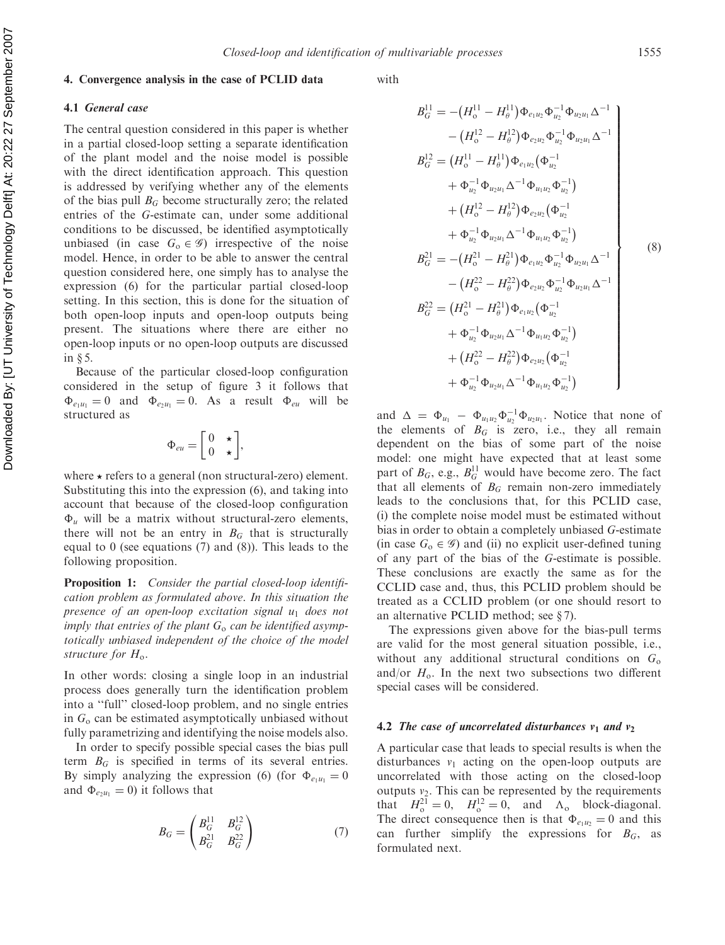# 4. Convergence analysis in the case of PCLID data

# 4.1 General case

The central question considered in this paper is whether in a partial closed-loop setting a separate identification of the plant model and the noise model is possible with the direct identification approach. This question is addressed by verifying whether any of the elements of the bias pull  $B_G$  become structurally zero; the related entries of the G-estimate can, under some additional conditions to be discussed, be identified asymptotically unbiased (in case  $G_0 \in \mathscr{G}$ ) irrespective of the noise model. Hence, in order to be able to answer the central question considered here, one simply has to analyse the expression (6) for the particular partial closed-loop setting. In this section, this is done for the situation of both open-loop inputs and open-loop outputs being present. The situations where there are either no open-loop inputs or no open-loop outputs are discussed in  $\delta$  5.

Because of the particular closed-loop configuration considered in the setup of figure 3 it follows that  $\Phi_{e_1u_1} = 0$  and  $\Phi_{e_2u_1} = 0$ . As a result  $\Phi_{eu}$  will be structured as

$$
\Phi_{eu} = \begin{bmatrix} 0 & \star \\ 0 & \star \end{bmatrix},
$$

where  $\star$  refers to a general (non structural-zero) element. Substituting this into the expression (6), and taking into account that because of the closed-loop configuration  $\Phi_u$  will be a matrix without structural-zero elements, there will not be an entry in  $B_G$  that is structurally equal to 0 (see equations (7) and (8)). This leads to the following proposition.

Proposition 1: Consider the partial closed-loop identification problem as formulated above. In this situation the presence of an open-loop excitation signal  $u_1$  does not imply that entries of the plant  $G_0$  can be identified asymptotically unbiased independent of the choice of the model structure for  $H_0$ .

In other words: closing a single loop in an industrial process does generally turn the identification problem into a ''full'' closed-loop problem, and no single entries in  $G_0$  can be estimated asymptotically unbiased without fully parametrizing and identifying the noise models also.

In order to specify possible special cases the bias pull term  $B_G$  is specified in terms of its several entries. By simply analyzing the expression (6) (for  $\Phi_{e_1u_1} = 0$ and  $\Phi_{e_2u_1} = 0$ ) it follows that

$$
B_G = \begin{pmatrix} B_G^{11} & B_G^{12} \\ B_G^{21} & B_G^{22} \end{pmatrix}
$$
 (7)

with

$$
B_G^{11} = -(H_0^{11} - H_\theta^{11}) \Phi_{e_1u_2} \Phi_{u_2}^{-1} \Phi_{u_2u_1} \Delta^{-1}
$$
  
\n
$$
- (H_0^{12} - H_\theta^{12}) \Phi_{e_2u_2} \Phi_{u_2}^{-1} \Phi_{u_2u_1} \Delta^{-1}
$$
  
\n
$$
B_G^{12} = (H_0^{11} - H_\theta^{11}) \Phi_{e_1u_2} (\Phi_{u_2}^{-1}
$$
  
\n
$$
+ \Phi_{u_2}^{-1} \Phi_{u_2u_1} \Delta^{-1} \Phi_{u_1u_2} \Phi_{u_2}^{-1})
$$
  
\n
$$
+ (H_0^{12} - H_\theta^{12}) \Phi_{e_2u_2} (\Phi_{u_2}^{-1}
$$
  
\n
$$
+ \Phi_{u_2}^{-1} \Phi_{u_2u_1} \Delta^{-1} \Phi_{u_1u_2} \Phi_{u_2}^{-1})
$$
  
\n
$$
B_G^{21} = -(H_0^{21} - H_\theta^{21}) \Phi_{e_1u_2} \Phi_{u_2}^{-1} \Phi_{u_2u_1} \Delta^{-1}
$$
  
\n
$$
- (H_0^{22} - H_\theta^{22}) \Phi_{e_2u_2} \Phi_{u_2}^{-1} \Phi_{u_2u_1} \Delta^{-1}
$$
  
\n
$$
B_G^{22} = (H_0^{21} - H_\theta^{21}) \Phi_{e_1u_2} (\Phi_{u_2}^{-1}
$$
  
\n
$$
+ \Phi_{u_2}^{-1} \Phi_{u_2u_1} \Delta^{-1} \Phi_{u_1u_2} \Phi_{u_2}^{-1})
$$
  
\n
$$
+ (H_0^{22} - H_\theta^{22}) \Phi_{e_2u_2} (\Phi_{u_2}^{-1}
$$
  
\n
$$
+ \Phi_{u_2}^{-1} \Phi_{u_2u_1} \Delta^{-1} \Phi_{u_1u_2} \Phi_{u_2}^{-1})
$$
  
\n
$$
+ \Phi_{u_2}^{-1} \Phi_{u_2u_1} \Delta^{-1} \Phi_{u_1u_2} \Phi_{u_2}^{-1})
$$

and  $\Delta = \Phi_{u_1} - \Phi_{u_1 u_2} \Phi_{u_2}^{-1} \Phi_{u_2 u_1}$ . Notice that none of the elements of  $B_G$  is zero, i.e., they all remain dependent on the bias of some part of the noise model: one might have expected that at least some part of  $B_G$ , e.g.,  $B_G^{11}$  would have become zero. The fact that all elements of  $B<sub>G</sub>$  remain non-zero immediately leads to the conclusions that, for this PCLID case, (i) the complete noise model must be estimated without bias in order to obtain a completely unbiased G-estimate (in case  $G_0 \in \mathscr{G}$ ) and (ii) no explicit user-defined tuning of any part of the bias of the G-estimate is possible. These conclusions are exactly the same as for the CCLID case and, thus, this PCLID problem should be treated as a CCLID problem (or one should resort to an alternative PCLID method; see  $\S 7$ ).

The expressions given above for the bias-pull terms are valid for the most general situation possible, i.e., without any additional structural conditions on  $G_0$ and/or  $H_0$ . In the next two subsections two different special cases will be considered.

#### 4.2 The case of uncorrelated disturbances  $v_1$  and  $v_2$

A particular case that leads to special results is when the disturbances  $v_1$  acting on the open-loop outputs are uncorrelated with those acting on the closed-loop outputs  $v_2$ . This can be represented by the requirements that  $H_0^{21} = 0$ ,  $H_0^{12} = 0$ , and  $\Lambda_0$  block-diagonal. The direct consequence then is that  $\Phi_{e_1u_2} = 0$  and this can further simplify the expressions for  $B_G$ , as formulated next.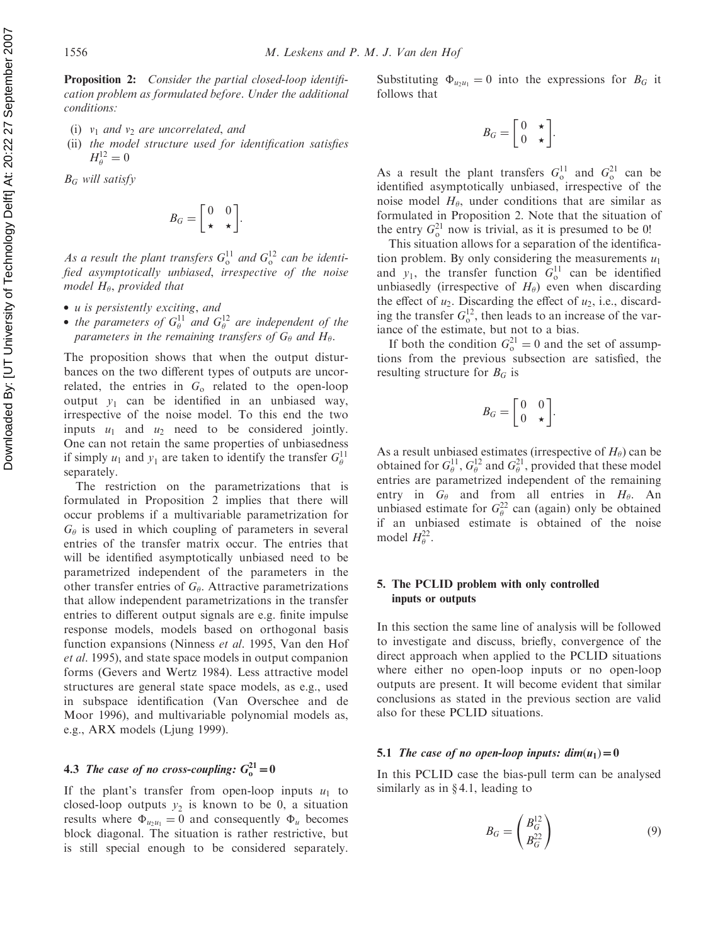Proposition 2: Consider the partial closed-loop identification problem as formulated before. Under the additional conditions:

- (i)  $v_1$  and  $v_2$  are uncorrelated, and
- (ii) the model structure used for identification satisfies  $H_{\theta}^{12}=0$

 $B_G$  will satisfy

Downloaded By: [UT University of Technology Delft] At: 20:22 27 September 2007

Downloaded By: [UT University of Technology Delft] At: 20:22 27 September 2007

$$
B_G = \begin{bmatrix} 0 & 0 \\ \star & \star \end{bmatrix}.
$$

As a result the plant transfers  $G_0^{11}$  and  $G_0^{12}$  can be identified asymptotically unbiased, irrespective of the noise model  $H_{\theta}$ , provided that

- *u* is persistently exciting, and
- the parameters of  $G_{\theta}^{11}$  and  $G_{\theta}^{12}$  are independent of the parameters in the remaining transfers of  $G_\theta$  and  $H_\theta$ .

The proposition shows that when the output disturbances on the two different types of outputs are uncorrelated, the entries in  $G_0$  related to the open-loop output  $y_1$  can be identified in an unbiased way, irrespective of the noise model. To this end the two inputs  $u_1$  and  $u_2$  need to be considered jointly. One can not retain the same properties of unbiasedness if simply  $u_1$  and  $y_1$  are taken to identify the transfer  $G_\theta^{11}$ separately.

The restriction on the parametrizations that is formulated in Proposition 2 implies that there will occur problems if a multivariable parametrization for  $G_{\theta}$  is used in which coupling of parameters in several entries of the transfer matrix occur. The entries that will be identified asymptotically unbiased need to be parametrized independent of the parameters in the other transfer entries of  $G_{\theta}$ . Attractive parametrizations that allow independent parametrizations in the transfer entries to different output signals are e.g. finite impulse response models, models based on orthogonal basis function expansions (Ninness et al. 1995, Van den Hof et al. 1995), and state space models in output companion forms (Gevers and Wertz 1984). Less attractive model structures are general state space models, as e.g., used in subspace identification (Van Overschee and de Moor 1996), and multivariable polynomial models as, e.g., ARX models (Ljung 1999).

# **4.3** The case of no cross-coupling:  $G_0^{21} = 0$

If the plant's transfer from open-loop inputs  $u_1$  to closed-loop outputs  $y_2$  is known to be 0, a situation results where  $\Phi_{u_2u_1} = 0$  and consequently  $\Phi_u$  becomes block diagonal. The situation is rather restrictive, but is still special enough to be considered separately.

Substituting  $\Phi_{u_2u_1} = 0$  into the expressions for  $B_G$  it follows that

$$
B_G = \begin{bmatrix} 0 & \star \\ 0 & \star \end{bmatrix}.
$$

As a result the plant transfers  $G_0^{11}$  and  $G_0^{21}$  can be identified asymptotically unbiased, irrespective of the noise model  $H_{\theta}$ , under conditions that are similar as formulated in Proposition 2. Note that the situation of the entry  $G_0^{21}$  now is trivial, as it is presumed to be 0!

This situation allows for a separation of the identification problem. By only considering the measurements  $u_1$ and  $y_1$ , the transfer function  $G_0^{11}$  can be identified unbiasedly (irrespective of  $H_{\theta}$ ) even when discarding the effect of  $u_2$ . Discarding the effect of  $u_2$ , i.e., discarding the transfer  $G_0^{12}$ , then leads to an increase of the variance of the estimate, but not to a bias.

If both the condition  $G_0^{21} = 0$  and the set of assumptions from the previous subsection are satisfied, the resulting structure for  $B_G$  is

$$
B_G = \begin{bmatrix} 0 & 0 \\ 0 & \star \end{bmatrix}.
$$

As a result unbiased estimates (irrespective of  $H_{\theta}$ ) can be obtained for  $G_{\theta}^{11}$ ,  $G_{\theta}^{12}$  and  $G_{\theta}^{21}$ , provided that these model entries are parametrized independent of the remaining entry in  $G_{\theta}$  and from all entries in  $H_{\theta}$ . An unbiased estimate for  $G_{\theta}^{22}$  can (again) only be obtained if an unbiased estimate is obtained of the noise model  $H_{\theta}^{22}$ .

# 5. The PCLID problem with only controlled inputs or outputs

In this section the same line of analysis will be followed to investigate and discuss, briefly, convergence of the direct approach when applied to the PCLID situations where either no open-loop inputs or no open-loop outputs are present. It will become evident that similar conclusions as stated in the previous section are valid also for these PCLID situations.

# 5.1 The case of no open-loop inputs:  $dim(u_1)=0$

In this PCLID case the bias-pull term can be analysed similarly as in  $§4.1$ , leading to

$$
B_G = \begin{pmatrix} B_G^{12} \\ B_G^{22} \end{pmatrix} \tag{9}
$$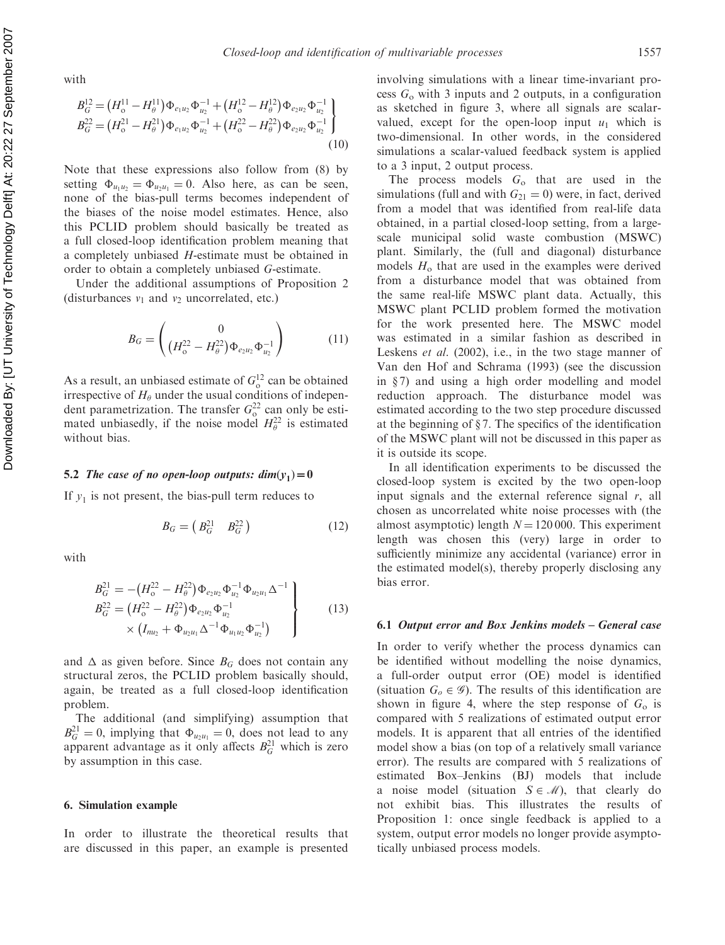with

$$
B_G^{12} = (H_o^{11} - H_\theta^{11}) \Phi_{e_1 u_2} \Phi_{u_2}^{-1} + (H_o^{12} - H_\theta^{12}) \Phi_{e_2 u_2} \Phi_{u_2}^{-1}
$$
  
\n
$$
B_G^{22} = (H_o^{21} - H_\theta^{21}) \Phi_{e_1 u_2} \Phi_{u_2}^{-1} + (H_o^{22} - H_\theta^{22}) \Phi_{e_2 u_2} \Phi_{u_2}^{-1}
$$
\n(10)

Note that these expressions also follow from (8) by setting  $\Phi_{u_1u_2} = \Phi_{u_2u_1} = 0$ . Also here, as can be seen, none of the bias-pull terms becomes independent of the biases of the noise model estimates. Hence, also this PCLID problem should basically be treated as a full closed-loop identification problem meaning that a completely unbiased H-estimate must be obtained in order to obtain a completely unbiased G-estimate.

Under the additional assumptions of Proposition 2 (disturbances  $v_1$  and  $v_2$  uncorrelated, etc.)

$$
B_G = \begin{pmatrix} 0 \\ (H_0^{22} - H_\theta^{22}) \Phi_{e_2 u_2} \Phi_{u_2}^{-1} \end{pmatrix}
$$
 (11)

As a result, an unbiased estimate of  $G_0^{12}$  can be obtained irrespective of  $H_\theta$  under the usual conditions of independent parametrization. The transfer  $G_0^{22}$  can only be estimated unbiasedly, if the noise model  $H_{\theta}^{22}$  is estimated without bias.

# 5.2 The case of no open-loop outputs:  $dim(y_1)=0$

If  $y_1$  is not present, the bias-pull term reduces to

$$
B_G = \begin{pmatrix} B_G^{21} & B_G^{22} \end{pmatrix} \tag{12}
$$

with

$$
B_G^{21} = -(H_o^{22} - H_\theta^{22}) \Phi_{e_2u_2} \Phi_{u_2}^{-1} \Phi_{u_2u_1} \Delta^{-1}
$$
  
\n
$$
B_G^{22} = (H_o^{22} - H_\theta^{22}) \Phi_{e_2u_2} \Phi_{u_2}^{-1}
$$
  
\n
$$
\times (I_{nu_2} + \Phi_{u_2u_1} \Delta^{-1} \Phi_{u_1u_2} \Phi_{u_2}^{-1})
$$
\n(13)

and  $\Delta$  as given before. Since  $B_G$  does not contain any structural zeros, the PCLID problem basically should, again, be treated as a full closed-loop identification problem.

The additional (and simplifying) assumption that  $B_G^{21} = 0$ , implying that  $\Phi_{u_2u_1} = 0$ , does not lead to any apparent advantage as it only affects  $B_G^{21}$  which is zero by assumption in this case.

#### 6. Simulation example

In order to illustrate the theoretical results that are discussed in this paper, an example is presented involving simulations with a linear time-invariant process  $G_0$  with 3 inputs and 2 outputs, in a configuration as sketched in figure 3, where all signals are scalarvalued, except for the open-loop input  $u_1$  which is two-dimensional. In other words, in the considered simulations a scalar-valued feedback system is applied to a 3 input, 2 output process.

The process models  $G_0$  that are used in the simulations (full and with  $G_{21} = 0$ ) were, in fact, derived from a model that was identified from real-life data obtained, in a partial closed-loop setting, from a largescale municipal solid waste combustion (MSWC) plant. Similarly, the (full and diagonal) disturbance models  $H_0$  that are used in the examples were derived from a disturbance model that was obtained from the same real-life MSWC plant data. Actually, this MSWC plant PCLID problem formed the motivation for the work presented here. The MSWC model was estimated in a similar fashion as described in Leskens *et al.* (2002), i.e., in the two stage manner of Van den Hof and Schrama (1993) (see the discussion in  $\S$ 7) and using a high order modelling and model reduction approach. The disturbance model was estimated according to the two step procedure discussed at the beginning of  $\S 7$ . The specifics of the identification of the MSWC plant will not be discussed in this paper as it is outside its scope.

In all identification experiments to be discussed the closed-loop system is excited by the two open-loop input signals and the external reference signal  $r$ , all chosen as uncorrelated white noise processes with (the almost asymptotic) length  $N = 120000$ . This experiment length was chosen this (very) large in order to sufficiently minimize any accidental (variance) error in the estimated model(s), thereby properly disclosing any bias error.

#### 6.1 Output error and Box Jenkins models – General case

In order to verify whether the process dynamics can be identified without modelling the noise dynamics, a full-order output error (OE) model is identified (situation  $G_0 \in \mathcal{G}$ ). The results of this identification are shown in figure 4, where the step response of  $G_0$  is compared with 5 realizations of estimated output error models. It is apparent that all entries of the identified model show a bias (on top of a relatively small variance error). The results are compared with 5 realizations of estimated Box–Jenkins (BJ) models that include a noise model (situation  $S \in \mathcal{M}$ ), that clearly do not exhibit bias. This illustrates the results of Proposition 1: once single feedback is applied to a system, output error models no longer provide asymptotically unbiased process models.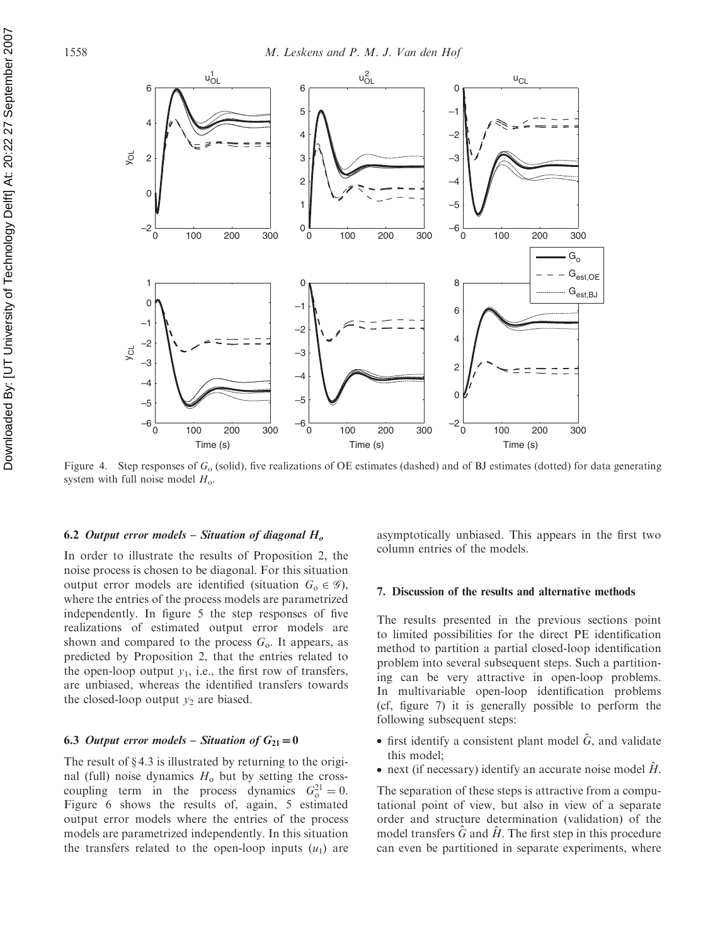

Figure 4. Step responses of  $G_0$  (solid), five realizations of OE estimates (dashed) and of BJ estimates (dotted) for data generating system with full noise model  $H_0$ .

#### 6.2 Output error models – Situation of diagonal  $H_o$

In order to illustrate the results of Proposition 2, the noise process is chosen to be diagonal. For this situation output error models are identified (situation  $G_0 \in \mathscr{G}$ ), where the entries of the process models are parametrized independently. In figure 5 the step responses of five realizations of estimated output error models are shown and compared to the process  $G_0$ . It appears, as predicted by Proposition 2, that the entries related to the open-loop output  $y_1$ , i.e., the first row of transfers, are unbiased, whereas the identified transfers towards the closed-loop output  $v_2$  are biased.

#### 6.3 Output error models – Situation of  $G_{21} = 0$

The result of  $\S 4.3$  is illustrated by returning to the original (full) noise dynamics  $H_0$  but by setting the crosscoupling term in the process dynamics  $G_0^{21} = 0$ . Figure 6 shows the results of, again, 5 estimated output error models where the entries of the process models are parametrized independently. In this situation the transfers related to the open-loop inputs  $(u_1)$  are asymptotically unbiased. This appears in the first two column entries of the models.

#### 7. Discussion of the results and alternative methods

The results presented in the previous sections point to limited possibilities for the direct PE identification method to partition a partial closed-loop identification problem into several subsequent steps. Such a partitioning can be very attractive in open-loop problems. In multivariable open-loop identification problems (cf, figure 7) it is generally possible to perform the following subsequent steps:

- first identify a consistent plant model  $\hat{G}$ , and validate this model;
- next (if necessary) identify an accurate noise model  $\hat{H}$ .

The separation of these steps is attractive from a computational point of view, but also in view of a separate order and structure determination (validation) of the model transfers  $\ddot{G}$  and  $\ddot{H}$ . The first step in this procedure can even be partitioned in separate experiments, where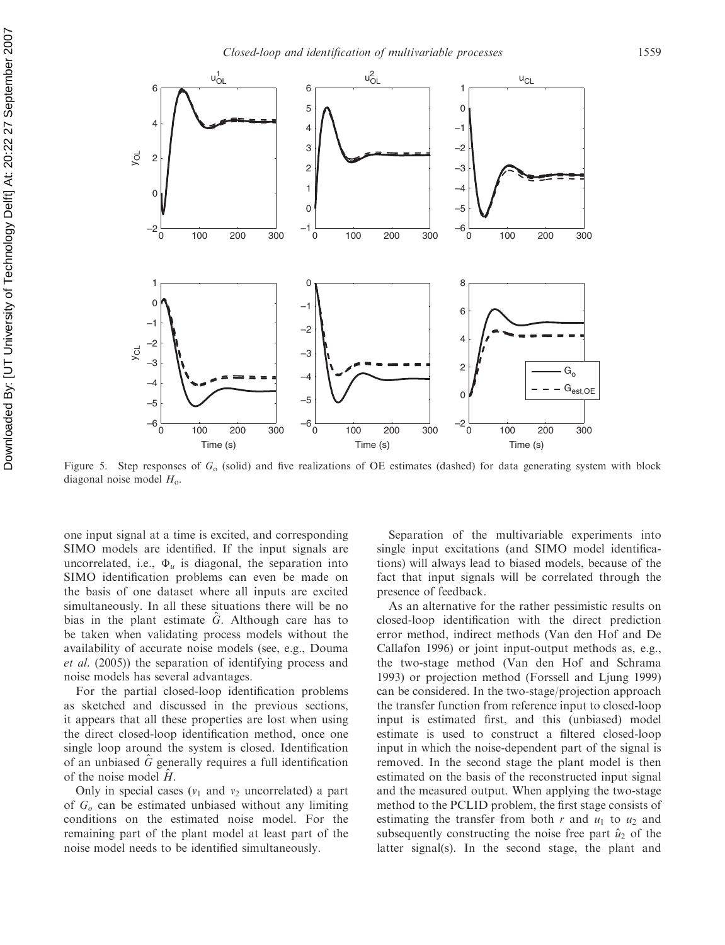

Figure 5. Step responses of  $G_0$  (solid) and five realizations of OE estimates (dashed) for data generating system with block diagonal noise model  $H_0$ .

one input signal at a time is excited, and corresponding SIMO models are identified. If the input signals are uncorrelated, i.e.,  $\Phi_u$  is diagonal, the separation into SIMO identification problems can even be made on the basis of one dataset where all inputs are excited simultaneously. In all these situations there will be no bias in the plant estimate G. Although care has to be taken when validating process models without the availability of accurate noise models (see, e.g., Douma et al. (2005)) the separation of identifying process and noise models has several advantages.

For the partial closed-loop identification problems as sketched and discussed in the previous sections, it appears that all these properties are lost when using the direct closed-loop identification method, once one single loop around the system is closed. Identification of an unbiased  $\hat{G}$  generally requires a full identification of the noise model  $H$ .

Only in special cases  $(v_1$  and  $v_2$  uncorrelated) a part of  $G<sub>o</sub>$  can be estimated unbiased without any limiting conditions on the estimated noise model. For the remaining part of the plant model at least part of the noise model needs to be identified simultaneously.

Separation of the multivariable experiments into single input excitations (and SIMO model identifications) will always lead to biased models, because of the fact that input signals will be correlated through the presence of feedback.

As an alternative for the rather pessimistic results on closed-loop identification with the direct prediction error method, indirect methods (Van den Hof and De Callafon 1996) or joint input-output methods as, e.g., the two-stage method (Van den Hof and Schrama 1993) or projection method (Forssell and Ljung 1999) can be considered. In the two-stage/projection approach the transfer function from reference input to closed-loop input is estimated first, and this (unbiased) model estimate is used to construct a filtered closed-loop input in which the noise-dependent part of the signal is removed. In the second stage the plant model is then estimated on the basis of the reconstructed input signal and the measured output. When applying the two-stage method to the PCLID problem, the first stage consists of estimating the transfer from both r and  $u_1$  to  $u_2$  and subsequently constructing the noise free part  $\hat{u}_2$  of the latter signal(s). In the second stage, the plant and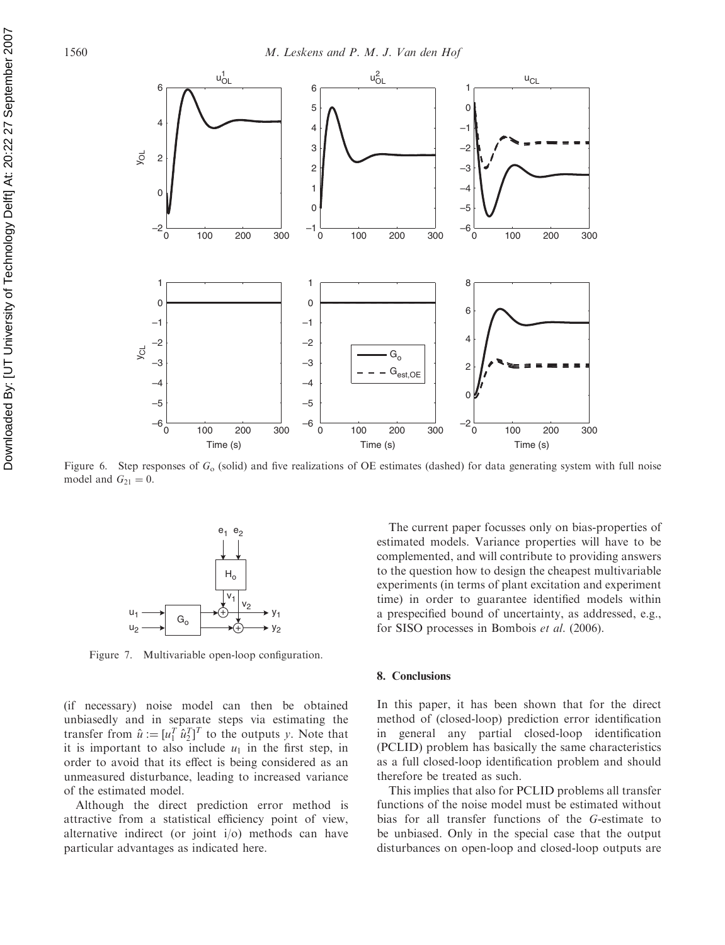

Figure 6. Step responses of  $G_0$  (solid) and five realizations of OE estimates (dashed) for data generating system with full noise model and  $G_{21} = 0$ .



Figure 7. Multivariable open-loop configuration.

(if necessary) noise model can then be obtained unbiasedly and in separate steps via estimating the transfer from  $\hat{u} := [u_1^T \hat{u}_2^T]^T$  to the outputs y. Note that it is important to also include  $u_1$  in the first step, in order to avoid that its effect is being considered as an unmeasured disturbance, leading to increased variance of the estimated model.

Although the direct prediction error method is attractive from a statistical efficiency point of view, alternative indirect (or joint i/o) methods can have particular advantages as indicated here.

The current paper focusses only on bias-properties of estimated models. Variance properties will have to be complemented, and will contribute to providing answers to the question how to design the cheapest multivariable experiments (in terms of plant excitation and experiment time) in order to guarantee identified models within a prespecified bound of uncertainty, as addressed, e.g., for SISO processes in Bombois et al. (2006).

#### 8. Conclusions

In this paper, it has been shown that for the direct method of (closed-loop) prediction error identification in general any partial closed-loop identification (PCLID) problem has basically the same characteristics as a full closed-loop identification problem and should therefore be treated as such.

This implies that also for PCLID problems all transfer functions of the noise model must be estimated without bias for all transfer functions of the G-estimate to be unbiased. Only in the special case that the output disturbances on open-loop and closed-loop outputs are